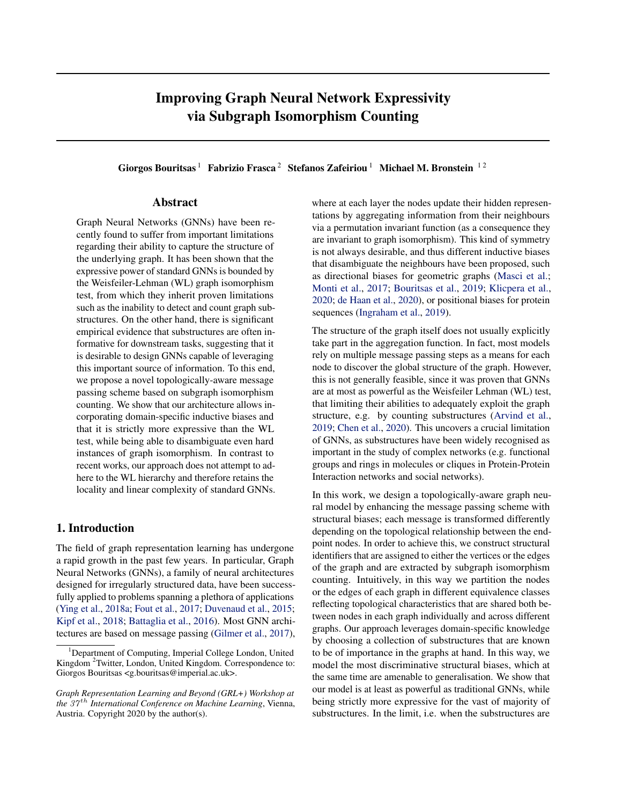# Improving Graph Neural Network Expressivity via Subgraph Isomorphism Counting

Giorgos Bouritsas<sup>1</sup> Fabrizio Frasca<sup>2</sup> Stefanos Zafeiriou<sup>1</sup> Michael M. Bronstein<sup>12</sup>

## Abstract

Graph Neural Networks (GNNs) have been recently found to suffer from important limitations regarding their ability to capture the structure of the underlying graph. It has been shown that the expressive power of standard GNNs is bounded by the Weisfeiler-Lehman (WL) graph isomorphism test, from which they inherit proven limitations such as the inability to detect and count graph substructures. On the other hand, there is significant empirical evidence that substructures are often informative for downstream tasks, suggesting that it is desirable to design GNNs capable of leveraging this important source of information. To this end, we propose a novel topologically-aware message passing scheme based on subgraph isomorphism counting. We show that our architecture allows incorporating domain-specific inductive biases and that it is strictly more expressive than the WL test, while being able to disambiguate even hard instances of graph isomorphism. In contrast to recent works, our approach does not attempt to adhere to the WL hierarchy and therefore retains the locality and linear complexity of standard GNNs.

## 1. Introduction

The field of graph representation learning has undergone a rapid growth in the past few years. In particular, Graph Neural Networks (GNNs), a family of neural architectures designed for irregularly structured data, have been successfully applied to problems spanning a plethora of applications [\(Ying et al.,](#page-7-0) [2018a;](#page-7-0) [Fout et al.,](#page-4-0) [2017;](#page-4-0) [Duvenaud et al.,](#page-4-0) [2015;](#page-4-0) [Kipf et al.,](#page-5-0) [2018;](#page-5-0) [Battaglia et al.,](#page-4-0) [2016\)](#page-4-0). Most GNN architectures are based on message passing [\(Gilmer et al.,](#page-5-0) [2017\)](#page-5-0), where at each layer the nodes update their hidden representations by aggregating information from their neighbours via a permutation invariant function (as a consequence they are invariant to graph isomorphism). This kind of symmetry is not always desirable, and thus different inductive biases that disambiguate the neighbours have been proposed, such as directional biases for geometric graphs [\(Masci et al.;](#page-6-0) [Monti et al.,](#page-6-0) [2017;](#page-6-0) [Bouritsas et al.,](#page-4-0) [2019;](#page-4-0) [Klicpera et al.,](#page-5-0) [2020;](#page-5-0) [de Haan et al.,](#page-4-0) [2020\)](#page-4-0), or positional biases for protein sequences [\(Ingraham et al.,](#page-5-0) [2019\)](#page-5-0).

The structure of the graph itself does not usually explicitly take part in the aggregation function. In fact, most models rely on multiple message passing steps as a means for each node to discover the global structure of the graph. However, this is not generally feasible, since it was proven that GNNs are at most as powerful as the Weisfeiler Lehman (WL) test, that limiting their abilities to adequately exploit the graph structure, e.g. by counting substructures [\(Arvind et al.,](#page-4-0) [2019;](#page-4-0) [Chen et al.,](#page-4-0) [2020\)](#page-4-0). This uncovers a crucial limitation of GNNs, as substructures have been widely recognised as important in the study of complex networks (e.g. functional groups and rings in molecules or cliques in Protein-Protein Interaction networks and social networks).

In this work, we design a topologically-aware graph neural model by enhancing the message passing scheme with structural biases; each message is transformed differently depending on the topological relationship between the endpoint nodes. In order to achieve this, we construct structural identifiers that are assigned to either the vertices or the edges of the graph and are extracted by subgraph isomorphism counting. Intuitively, in this way we partition the nodes or the edges of each graph in different equivalence classes reflecting topological characteristics that are shared both between nodes in each graph individually and across different graphs. Our approach leverages domain-specific knowledge by choosing a collection of substructures that are known to be of importance in the graphs at hand. In this way, we model the most discriminative structural biases, which at the same time are amenable to generalisation. We show that our model is at least as powerful as traditional GNNs, while being strictly more expressive for the vast of majority of substructures. In the limit, i.e. when the substructures are

<sup>&</sup>lt;sup>1</sup>Department of Computing, Imperial College London, United Kingdom <sup>2</sup>Twitter, London, United Kingdom. Correspondence to: Giorgos Bouritsas <g.bouritsas@imperial.ac.uk>.

*Graph Representation Learning and Beyond (GRL+) Workshop at the* 37 th *International Conference on Machine Learning*, Vienna, Austria. Copyright 2020 by the author(s).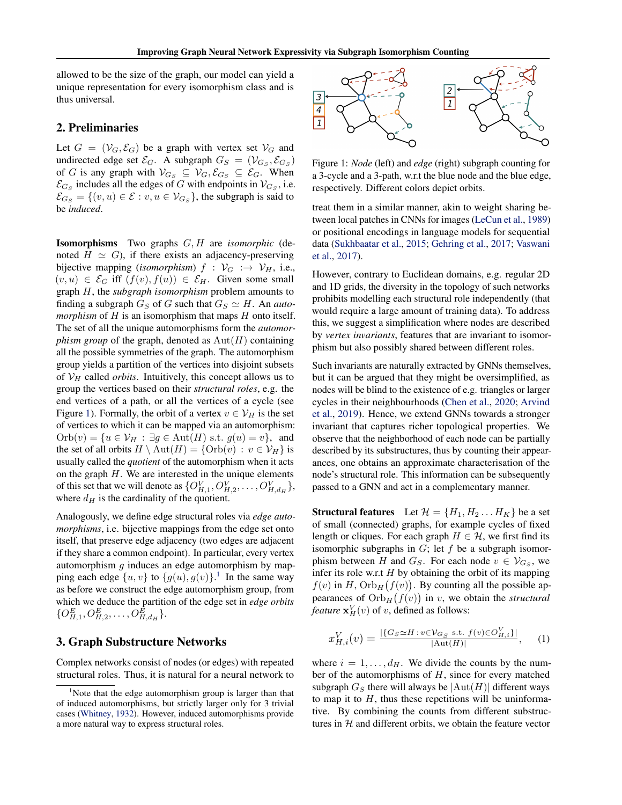<span id="page-1-0"></span>allowed to be the size of the graph, our model can yield a unique representation for every isomorphism class and is thus universal.

#### 2. Preliminaries

Let  $G = (\mathcal{V}_G, \mathcal{E}_G)$  be a graph with vertex set  $\mathcal{V}_G$  and undirected edge set  $\mathcal{E}_G$ . A subgraph  $G_S = (\mathcal{V}_{G_S}, \mathcal{E}_{G_S})$ of G is any graph with  $V_{G_S} \subseteq V_G$ ,  $\mathcal{E}_{G_S} \subseteq \mathcal{E}_G$ . When  $\mathcal{E}_{G_S}$  includes all the edges of G with endpoints in  $\mathcal{V}_{G_S}$ , i.e.  $\mathcal{E}_{G_S} = \{(v, u) \in \mathcal{E} : v, u \in \mathcal{V}_{G_S}\}$ , the subgraph is said to be *induced*.

Isomorphisms Two graphs G, H are *isomorphic* (denoted  $H \simeq G$ ), if there exists an adjacency-preserving bijective mapping (*isomorphism*)  $f : \mathcal{V}_G : \rightarrow \mathcal{V}_H$ , i.e.,  $(v, u) \in \mathcal{E}_G$  iff  $(f(v), f(u)) \in \mathcal{E}_H$ . Given some small graph H, the *subgraph isomorphism* problem amounts to finding a subgraph  $G_S$  of G such that  $G_S \simeq H$ . An *automorphism* of  $H$  is an isomorphism that maps  $H$  onto itself. The set of all the unique automorphisms form the *automorphism group* of the graph, denoted as  $Aut(H)$  containing all the possible symmetries of the graph. The automorphism group yields a partition of the vertices into disjoint subsets of  $V_H$  called *orbits*. Intuitively, this concept allows us to group the vertices based on their *structural roles*, e.g. the end vertices of a path, or all the vertices of a cycle (see Figure 1). Formally, the orbit of a vertex  $v \in V_H$  is the set of vertices to which it can be mapped via an automorphism:  $Orb(v) = {u \in \mathcal{V}_H : \exists g \in Aut(H) \text{ s.t. } g(u) = v}, \text{ and}$ the set of all orbits  $H \setminus \text{Aut}(H) = \{ \text{Orb}(v) : v \in V_H \}$  is usually called the *quotient* of the automorphism when it acts on the graph  $H$ . We are interested in the unique elements of this set that we will denote as  $\{O_{H,1}^V, O_{H,2}^V, \ldots, O_{H,d_H}^V\}$ , where  $d_H$  is the cardinality of the quotient.

Analogously, we define edge structural roles via *edge automorphisms*, i.e. bijective mappings from the edge set onto itself, that preserve edge adjacency (two edges are adjacent if they share a common endpoint). In particular, every vertex automorphism  $g$  induces an edge automorphism by mapping each edge  $\{u, v\}$  to  $\{g(u), g(v)\}$ .<sup>1</sup> In the same way as before we construct the edge automorphism group, from which we deduce the partition of the edge set in *edge orbits*  $\{O_{H,1}^E, O_{H,2}^E, \ldots, O_{H,d_H}^E\}.$ 

## 3. Graph Substructure Networks

Complex networks consist of nodes (or edges) with repeated structural roles. Thus, it is natural for a neural network to



Figure 1: *Node* (left) and *edge* (right) subgraph counting for a 3-cycle and a 3-path, w.r.t the blue node and the blue edge, respectively. Different colors depict orbits.

treat them in a similar manner, akin to weight sharing between local patches in CNNs for images [\(LeCun et al.,](#page-5-0) [1989\)](#page-5-0) or positional encodings in language models for sequential data [\(Sukhbaatar et al.,](#page-7-0) [2015;](#page-7-0) [Gehring et al.,](#page-5-0) [2017;](#page-5-0) [Vaswani](#page-7-0) [et al.,](#page-7-0) [2017\)](#page-7-0).

However, contrary to Euclidean domains, e.g. regular 2D and 1D grids, the diversity in the topology of such networks prohibits modelling each structural role independently (that would require a large amount of training data). To address this, we suggest a simplification where nodes are described by *vertex invariants*, features that are invariant to isomorphism but also possibly shared between different roles.

Such invariants are naturally extracted by GNNs themselves, but it can be argued that they might be oversimplified, as nodes will be blind to the existence of e.g. triangles or larger cycles in their neighbourhoods [\(Chen et al.,](#page-4-0) [2020;](#page-4-0) [Arvind](#page-4-0) [et al.,](#page-4-0) [2019\)](#page-4-0). Hence, we extend GNNs towards a stronger invariant that captures richer topological properties. We observe that the neighborhood of each node can be partially described by its substructures, thus by counting their appearances, one obtains an approximate characterisation of the node's structural role. This information can be subsequently passed to a GNN and act in a complementary manner.

**Structural features** Let  $\mathcal{H} = \{H_1, H_2 \dots H_K\}$  be a set of small (connected) graphs, for example cycles of fixed length or cliques. For each graph  $H \in \mathcal{H}$ , we first find its isomorphic subgraphs in  $G$ ; let  $f$  be a subgraph isomorphism between H and  $G_S$ . For each node  $v \in V_{G_S}$ , we infer its role w.r.t  $H$  by obtaining the orbit of its mapping  $f(v)$  in H,  $Orb<sub>H</sub>(f(v))$ . By counting all the possible appearances of  $Orb_H(f(v))$  in v, we obtain the *structural feature*  $\mathbf{x}_H^V(v)$  of v, defined as follows:

$$
x_{H,i}^V(v) = \frac{|\{G_S \simeq H : v \in \mathcal{V}_{G_S} \text{ s.t. } f(v) \in O_{H,i}^V\}|}{|\text{Aut}(H)|}, \quad (1)
$$

where  $i = 1, \ldots, d_H$ . We divide the counts by the number of the automorphisms of  $H$ , since for every matched subgraph  $G_S$  there will always be  $|\text{Aut}(H)|$  different ways to map it to  $H$ , thus these repetitions will be uninformative. By combining the counts from different substructures in  $H$  and different orbits, we obtain the feature vector

<sup>&</sup>lt;sup>1</sup>Note that the edge automorphism group is larger than that of induced automorphisms, but strictly larger only for 3 trivial cases [\(Whitney,](#page-7-0) [1932\)](#page-7-0). However, induced automorphisms provide a more natural way to express structural roles.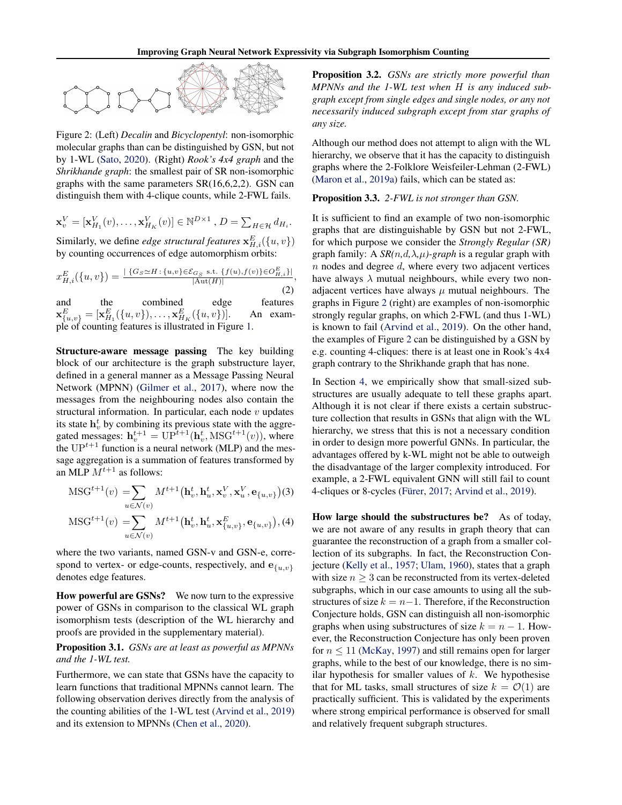

Figure 2: (Left) *Decalin* and *Bicyclopentyl*: non-isomorphic molecular graphs than can be distinguished by GSN, but not by 1-WL [\(Sato,](#page-6-0) [2020\)](#page-6-0). (Right) *Rook's 4x4 graph* and the *Shrikhande graph*: the smallest pair of SR non-isomorphic graphs with the same parameters SR(16,6,2,2). GSN can distinguish them with 4-clique counts, while 2-FWL fails.

$$
\mathbf{x}_v^V = [\mathbf{x}_{H_1}^V(v), \dots, \mathbf{x}_{H_K}^V(v)] \in \mathbb{N}^{D \times 1}, D = \sum_{H \in \mathcal{H}} d_{H_i}.
$$

Similarly, we define *edge structural features*  $\mathbf{x}_{H,i}^E({u, v})$ by counting occurrences of edge automorphism orbits:

$$
x_{H,i}^{E}(\{u,v\}) = \frac{|\{G_S \simeq H : \{u,v\} \in \mathcal{E}_{G_S} \text{ s.t. } \{f(u), f(v)\} \in O_{H,i}^{E}|}{|\text{Aut}(H)|},
$$
\n(2)

and the combined edge features  $\mathbf{x}_{\{u,v\}}^E = [\mathbf{x}_{H_1}^E(\{u,v\}), \dots, \mathbf{x}_{H_K}^E(\{u,v\})].$  An example of counting features is illustrated in Figure [1.](#page-1-0)

Structure-aware message passing The key building block of our architecture is the graph substructure layer, defined in a general manner as a Message Passing Neural Network (MPNN) [\(Gilmer et al.,](#page-5-0) [2017\)](#page-5-0), where now the messages from the neighbouring nodes also contain the structural information. In particular, each node  $v$  updates its state  $h_v^t$  by combining its previous state with the aggregated messages:  $\mathbf{h}_v^{t+1} = \text{UP}^{\overline{t}+1}(\mathbf{h}_v^t, \text{MSG}^{t+1}(v))$ , where the  $UP^{t+1}$  function is a neural network (MLP) and the message aggregation is a summation of features transformed by an MLP  $M^{t+1}$  as follows:

$$
\begin{aligned} \text{MSG}^{t+1}(v) &= \sum_{u \in \mathcal{N}(v)} M^{t+1} \left( \mathbf{h}_v^t, \mathbf{h}_u^t, \mathbf{x}_v^V, \mathbf{x}_u^V, \mathbf{e}_{\{u, v\}} \right) \\ \text{MSG}^{t+1}(v) &= \sum_{u \in \mathcal{N}(v)} M^{t+1} \left( \mathbf{h}_v^t, \mathbf{h}_u^t, \mathbf{x}_{\{u, v\}}^E, \mathbf{e}_{\{u, v\}} \right), \end{aligned} \tag{3}
$$

where the two variants, named GSN-v and GSN-e, correspond to vertex- or edge-counts, respectively, and  $e_{\{u,v\}}$ denotes edge features.

How powerful are GSNs? We now turn to the expressive power of GSNs in comparison to the classical WL graph isomorphism tests (description of the WL hierarchy and proofs are provided in the supplementary material).

Proposition 3.1. *GSNs are at least as powerful as MPNNs and the 1-WL test.*

Furthermore, we can state that GSNs have the capacity to learn functions that traditional MPNNs cannot learn. The following observation derives directly from the analysis of the counting abilities of the 1-WL test [\(Arvind et al.,](#page-4-0) [2019\)](#page-4-0) and its extension to MPNNs [\(Chen et al.,](#page-4-0) [2020\)](#page-4-0).

Proposition 3.2. *GSNs are strictly more powerful than MPNNs and the 1-WL test when* H *is any induced subgraph except from single edges and single nodes, or any not necessarily induced subgraph except from star graphs of any size.*

Although our method does not attempt to align with the WL hierarchy, we observe that it has the capacity to distinguish graphs where the 2-Folklore Weisfeiler-Lehman (2-FWL) [\(Maron et al.,](#page-6-0) [2019a\)](#page-6-0) fails, which can be stated as:

#### Proposition 3.3. *2-FWL is not stronger than GSN.*

It is sufficient to find an example of two non-isomorphic graphs that are distinguishable by GSN but not 2-FWL, for which purpose we consider the *Strongly Regular (SR)* graph family: A  $SR(n,d,\lambda,\mu)$ -graph is a regular graph with  $n$  nodes and degree  $d$ , where every two adjacent vertices have always  $\lambda$  mutual neighbours, while every two nonadjacent vertices have always  $\mu$  mutual neighbours. The graphs in Figure 2 (right) are examples of non-isomorphic strongly regular graphs, on which 2-FWL (and thus 1-WL) is known to fail [\(Arvind et al.,](#page-4-0) [2019\)](#page-4-0). On the other hand, the examples of Figure 2 can be distinguished by a GSN by e.g. counting 4-cliques: there is at least one in Rook's 4x4 graph contrary to the Shrikhande graph that has none.

In Section [4,](#page-3-0) we empirically show that small-sized substructures are usually adequate to tell these graphs apart. Although it is not clear if there exists a certain substructure collection that results in GSNs that align with the WL hierarchy, we stress that this is not a necessary condition in order to design more powerful GNNs. In particular, the advantages offered by k-WL might not be able to outweigh the disadvantage of the larger complexity introduced. For example, a 2-FWL equivalent GNN will still fail to count 4-cliques or 8-cycles [\(Fürer,](#page-5-0) [2017;](#page-5-0) [Arvind et al.,](#page-4-0) [2019\)](#page-4-0).

How large should the substructures be? As of today, we are not aware of any results in graph theory that can guarantee the reconstruction of a graph from a smaller collection of its subgraphs. In fact, the Reconstruction Conjecture [\(Kelly et al.,](#page-5-0) [1957;](#page-5-0) [Ulam,](#page-7-0) [1960\)](#page-7-0), states that a graph with size  $n > 3$  can be reconstructed from its vertex-deleted subgraphs, which in our case amounts to using all the substructures of size  $k = n-1$ . Therefore, if the Reconstruction Conjecture holds, GSN can distinguish all non-isomorphic graphs when using substructures of size  $k = n - 1$ . However, the Reconstruction Conjecture has only been proven for  $n \leq 11$  [\(McKay,](#page-6-0) [1997\)](#page-6-0) and still remains open for larger graphs, while to the best of our knowledge, there is no similar hypothesis for smaller values of  $k$ . We hypothesise that for ML tasks, small structures of size  $k = \mathcal{O}(1)$  are practically sufficient. This is validated by the experiments where strong empirical performance is observed for small and relatively frequent subgraph structures.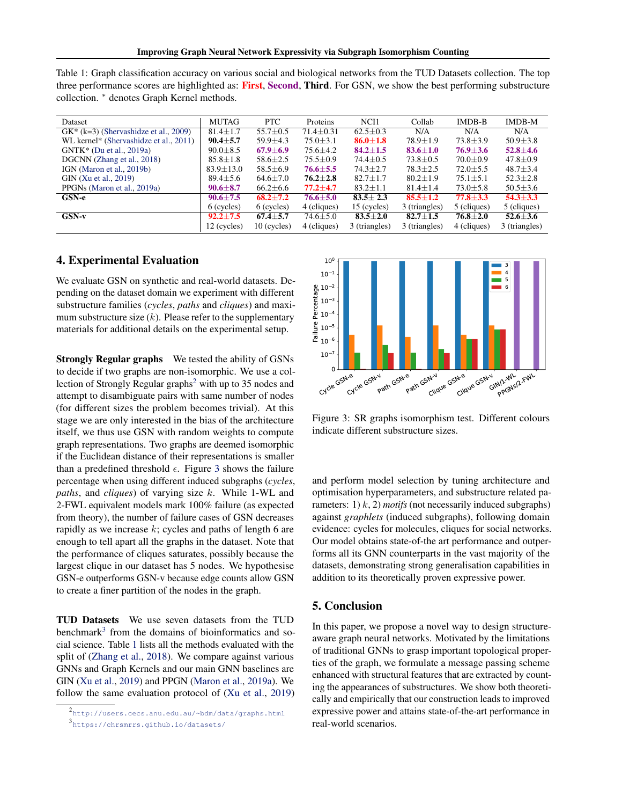<span id="page-3-0"></span>

| Table 1: Graph classification accuracy on various social and biological networks from the TUD Datasets collection. The top |  |
|----------------------------------------------------------------------------------------------------------------------------|--|
| three performance scores are highlighted as: First, Second, Third. For GSN, we show the best performing substructure       |  |
| collection. * denotes Graph Kernel methods.                                                                                |  |

| Dataset                                  | <b>MUTAG</b>    | <b>PTC</b>     | Proteins        | NCI1           | Collab         | $IMDB-B$       | IMDB-M         |
|------------------------------------------|-----------------|----------------|-----------------|----------------|----------------|----------------|----------------|
| $GK^*$ (k=3) (Shervashidze et al., 2009) | $81.4 \pm 1.7$  | $55.7 \pm 0.5$ | $71.4 \pm 0.31$ | $62.5 \pm 0.3$ | N/A            | N/A            | N/A            |
| WL kernel* (Shervashidze et al., 2011)   | $90.4 \pm 5.7$  | $59.9 \pm 4.3$ | $75.0 \pm 3.1$  | $86.0 + 1.8$   | $78.9 + 1.9$   | $73.8 + 3.9$   | $50.9 \pm 3.8$ |
| $GNTK^*$ (Du et al., 2019a)              | $90.0 \pm 8.5$  | $67.9 \pm 6.9$ | $75.6 \pm 4.2$  | $84.2 + 1.5$   | $83.6 \pm 1.0$ | $76.9 + 3.6$   | $52.8 \pm 4.6$ |
| DGCNN (Zhang et al., 2018)               | $85.8 \pm 1.8$  | $58.6 \pm 2.5$ | $75.5 \pm 0.9$  | $74.4 \pm 0.5$ | $73.8 \pm 0.5$ | $70.0 \pm 0.9$ | $47.8 \pm 0.9$ |
| IGN (Maron et al., 2019b)                | $83.9 \pm 13.0$ | $58.5 \pm 6.9$ | $76.6 \pm 5.5$  | $74.3 \pm 2.7$ | $78.3 \pm 2.5$ | $72.0 + 5.5$   | $48.7 \pm 3.4$ |
| GIN (Xu et al., 2019)                    | $89.4 \pm 5.6$  | $64.6 \pm 7.0$ | $76.2 \pm 2.8$  | $82.7 + 1.7$   | $80.2 \pm 1.9$ | $75.1 \pm 5.1$ | $52.3 \pm 2.8$ |
| PPGNs (Maron et al., 2019a)              | $90.6 \pm 8.7$  | $66.2 \pm 6.6$ | $77.2 \pm 4.7$  | $83.2 \pm 1.1$ | $81.4 \pm 1.4$ | $73.0 \pm 5.8$ | $50.5 \pm 3.6$ |
| GSN-e                                    | $90.6 \pm 7.5$  | $68.2 + 7.2$   | $76.6 \pm 5.0$  | $83.5 + 2.3$   | $85.5 + 1.2$   | $77.8 \pm 3.3$ | $54.3 + 3.3$   |
|                                          | 6 (cycles)      | $6$ (cycles)   | 4 (cliques)     | 15 (cycles)    | 3 (triangles)  | 5 (cliques)    | 5 (cliques)    |
| $GSN-v$                                  | $92.2 + 7.5$    | $67.4 \pm 5.7$ | $74.6 \pm 5.0$  | $83.5 \pm 2.0$ | $82.7 + 1.5$   | $76.8 \pm 2.0$ | $52.6 \pm 3.6$ |
|                                          | 12 (cycles)     | $10$ (cycles)  | 4 (cliques)     | 3 (triangles)  | 3 (triangles)  | 4 (cliques)    | 3 (triangles)  |

#### 4. Experimental Evaluation

We evaluate GSN on synthetic and real-world datasets. Depending on the dataset domain we experiment with different substructure families (*cycles*, *paths* and *cliques*) and maximum substructure size  $(k)$ . Please refer to the supplementary materials for additional details on the experimental setup.

Strongly Regular graphs We tested the ability of GSNs to decide if two graphs are non-isomorphic. We use a collection of Strongly Regular graphs<sup>2</sup> with up to 35 nodes and attempt to disambiguate pairs with same number of nodes (for different sizes the problem becomes trivial). At this stage we are only interested in the bias of the architecture itself, we thus use GSN with random weights to compute graph representations. Two graphs are deemed isomorphic if the Euclidean distance of their representations is smaller than a predefined threshold  $\epsilon$ . Figure 3 shows the failure percentage when using different induced subgraphs (*cycles*, *paths*, and *cliques*) of varying size k. While 1-WL and 2-FWL equivalent models mark 100% failure (as expected from theory), the number of failure cases of GSN decreases rapidly as we increase  $k$ ; cycles and paths of length 6 are enough to tell apart all the graphs in the dataset. Note that the performance of cliques saturates, possibly because the largest clique in our dataset has 5 nodes. We hypothesise GSN-e outperforms GSN-v because edge counts allow GSN to create a finer partition of the nodes in the graph.

TUD Datasets We use seven datasets from the TUD benchmark<sup>3</sup> from the domains of bioinformatics and social science. Table 1 lists all the methods evaluated with the split of [\(Zhang et al.,](#page-7-0) [2018\)](#page-7-0). We compare against various GNNs and Graph Kernels and our main GNN baselines are GIN [\(Xu et al.,](#page-7-0) [2019\)](#page-7-0) and PPGN [\(Maron et al.,](#page-6-0) [2019a\)](#page-6-0). We follow the same evaluation protocol of [\(Xu et al.,](#page-7-0) [2019\)](#page-7-0)



Figure 3: SR graphs isomorphism test. Different colours indicate different substructure sizes.

and perform model selection by tuning architecture and optimisation hyperparameters, and substructure related parameters: 1) k, 2) *motifs* (not necessarily induced subgraphs) against *graphlets* (induced subgraphs), following domain evidence: cycles for molecules, cliques for social networks. Our model obtains state-of-the art performance and outperforms all its GNN counterparts in the vast majority of the datasets, demonstrating strong generalisation capabilities in addition to its theoretically proven expressive power.

### 5. Conclusion

In this paper, we propose a novel way to design structureaware graph neural networks. Motivated by the limitations of traditional GNNs to grasp important topological properties of the graph, we formulate a message passing scheme enhanced with structural features that are extracted by counting the appearances of substructures. We show both theoretically and empirically that our construction leads to improved expressive power and attains state-of-the-art performance in real-world scenarios.

<sup>2</sup> <http://users.cecs.anu.edu.au/~bdm/data/graphs.html> 3 <https://chrsmrrs.github.io/datasets/>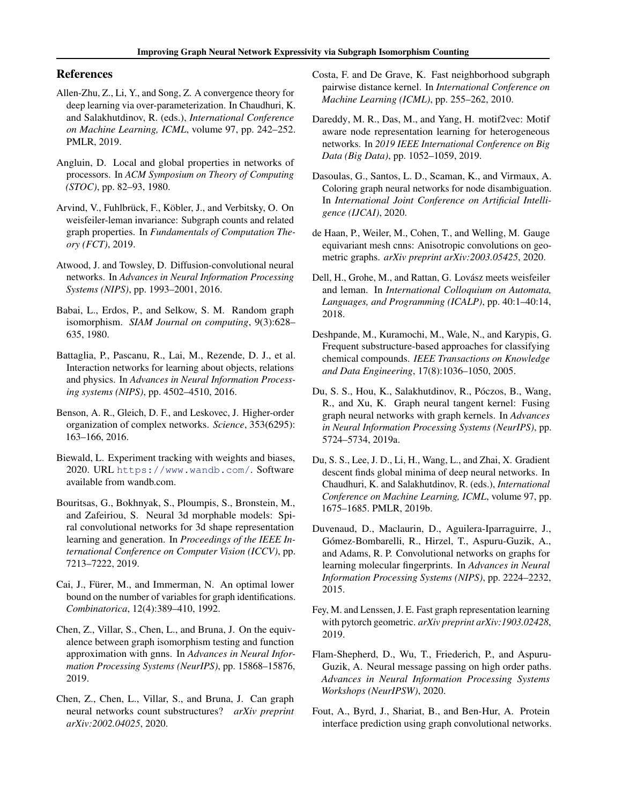## <span id="page-4-0"></span>References

- Allen-Zhu, Z., Li, Y., and Song, Z. A convergence theory for deep learning via over-parameterization. In Chaudhuri, K. and Salakhutdinov, R. (eds.), *International Conference on Machine Learning, ICML*, volume 97, pp. 242–252. PMLR, 2019.
- Angluin, D. Local and global properties in networks of processors. In *ACM Symposium on Theory of Computing (STOC)*, pp. 82–93, 1980.
- Arvind, V., Fuhlbrück, F., Köbler, J., and Verbitsky, O. On weisfeiler-leman invariance: Subgraph counts and related graph properties. In *Fundamentals of Computation Theory (FCT)*, 2019.
- Atwood, J. and Towsley, D. Diffusion-convolutional neural networks. In *Advances in Neural Information Processing Systems (NIPS)*, pp. 1993–2001, 2016.
- Babai, L., Erdos, P., and Selkow, S. M. Random graph isomorphism. *SIAM Journal on computing*, 9(3):628– 635, 1980.
- Battaglia, P., Pascanu, R., Lai, M., Rezende, D. J., et al. Interaction networks for learning about objects, relations and physics. In *Advances in Neural Information Processing systems (NIPS)*, pp. 4502–4510, 2016.
- Benson, A. R., Gleich, D. F., and Leskovec, J. Higher-order organization of complex networks. *Science*, 353(6295): 163–166, 2016.
- Biewald, L. Experiment tracking with weights and biases, 2020. URL <https://www.wandb.com/>. Software available from wandb.com.
- Bouritsas, G., Bokhnyak, S., Ploumpis, S., Bronstein, M., and Zafeiriou, S. Neural 3d morphable models: Spiral convolutional networks for 3d shape representation learning and generation. In *Proceedings of the IEEE International Conference on Computer Vision (ICCV)*, pp. 7213–7222, 2019.
- Cai, J., Fürer, M., and Immerman, N. An optimal lower bound on the number of variables for graph identifications. *Combinatorica*, 12(4):389–410, 1992.
- Chen, Z., Villar, S., Chen, L., and Bruna, J. On the equivalence between graph isomorphism testing and function approximation with gnns. In *Advances in Neural Information Processing Systems (NeurIPS)*, pp. 15868–15876, 2019.
- Chen, Z., Chen, L., Villar, S., and Bruna, J. Can graph neural networks count substructures? *arXiv preprint arXiv:2002.04025*, 2020.
- Costa, F. and De Grave, K. Fast neighborhood subgraph pairwise distance kernel. In *International Conference on Machine Learning (ICML)*, pp. 255–262, 2010.
- Dareddy, M. R., Das, M., and Yang, H. motif2vec: Motif aware node representation learning for heterogeneous networks. In *2019 IEEE International Conference on Big Data (Big Data)*, pp. 1052–1059, 2019.
- Dasoulas, G., Santos, L. D., Scaman, K., and Virmaux, A. Coloring graph neural networks for node disambiguation. In *International Joint Conference on Artificial Intelligence (IJCAI)*, 2020.
- de Haan, P., Weiler, M., Cohen, T., and Welling, M. Gauge equivariant mesh cnns: Anisotropic convolutions on geometric graphs. *arXiv preprint arXiv:2003.05425*, 2020.
- Dell, H., Grohe, M., and Rattan, G. Lovász meets weisfeiler and leman. In *International Colloquium on Automata, Languages, and Programming (ICALP)*, pp. 40:1–40:14, 2018.
- Deshpande, M., Kuramochi, M., Wale, N., and Karypis, G. Frequent substructure-based approaches for classifying chemical compounds. *IEEE Transactions on Knowledge and Data Engineering*, 17(8):1036–1050, 2005.
- Du, S. S., Hou, K., Salakhutdinov, R., Póczos, B., Wang, R., and Xu, K. Graph neural tangent kernel: Fusing graph neural networks with graph kernels. In *Advances in Neural Information Processing Systems (NeurIPS)*, pp. 5724–5734, 2019a.
- Du, S. S., Lee, J. D., Li, H., Wang, L., and Zhai, X. Gradient descent finds global minima of deep neural networks. In Chaudhuri, K. and Salakhutdinov, R. (eds.), *International Conference on Machine Learning, ICML*, volume 97, pp. 1675–1685. PMLR, 2019b.
- Duvenaud, D., Maclaurin, D., Aguilera-Iparraguirre, J., Gómez-Bombarelli, R., Hirzel, T., Aspuru-Guzik, A., and Adams, R. P. Convolutional networks on graphs for learning molecular fingerprints. In *Advances in Neural Information Processing Systems (NIPS)*, pp. 2224–2232, 2015.
- Fey, M. and Lenssen, J. E. Fast graph representation learning with pytorch geometric. *arXiv preprint arXiv:1903.02428*, 2019.
- Flam-Shepherd, D., Wu, T., Friederich, P., and Aspuru-Guzik, A. Neural message passing on high order paths. *Advances in Neural Information Processing Systems Workshops (NeurIPSW)*, 2020.
- Fout, A., Byrd, J., Shariat, B., and Ben-Hur, A. Protein interface prediction using graph convolutional networks.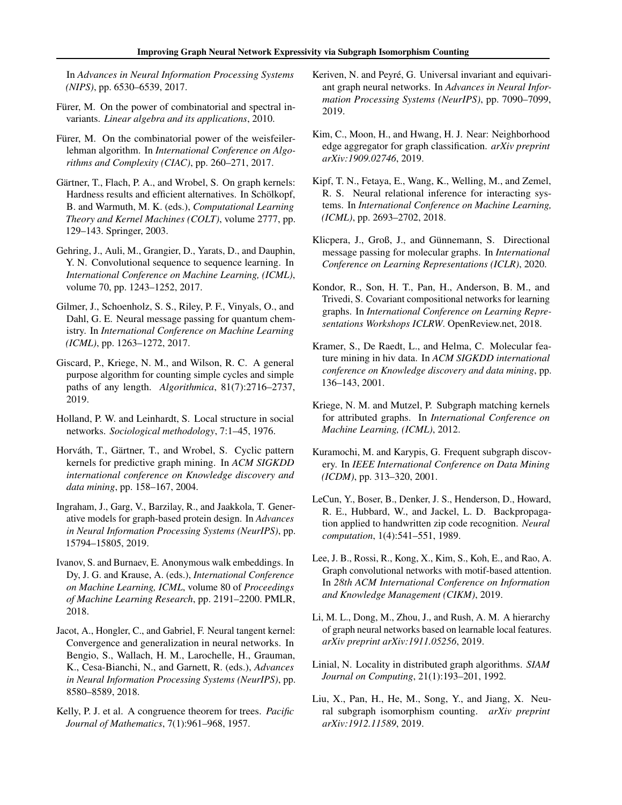<span id="page-5-0"></span>In *Advances in Neural Information Processing Systems (NIPS)*, pp. 6530–6539, 2017.

- Fürer, M. On the power of combinatorial and spectral invariants. *Linear algebra and its applications*, 2010.
- Fürer, M. On the combinatorial power of the weisfeilerlehman algorithm. In *International Conference on Algorithms and Complexity (CIAC)*, pp. 260–271, 2017.
- Gärtner, T., Flach, P. A., and Wrobel, S. On graph kernels: Hardness results and efficient alternatives. In Schölkopf, B. and Warmuth, M. K. (eds.), *Computational Learning Theory and Kernel Machines (COLT)*, volume 2777, pp. 129–143. Springer, 2003.
- Gehring, J., Auli, M., Grangier, D., Yarats, D., and Dauphin, Y. N. Convolutional sequence to sequence learning. In *International Conference on Machine Learning, (ICML)*, volume 70, pp. 1243–1252, 2017.
- Gilmer, J., Schoenholz, S. S., Riley, P. F., Vinyals, O., and Dahl, G. E. Neural message passing for quantum chemistry. In *International Conference on Machine Learning (ICML)*, pp. 1263–1272, 2017.
- Giscard, P., Kriege, N. M., and Wilson, R. C. A general purpose algorithm for counting simple cycles and simple paths of any length. *Algorithmica*, 81(7):2716–2737, 2019.
- Holland, P. W. and Leinhardt, S. Local structure in social networks. *Sociological methodology*, 7:1–45, 1976.
- Horváth, T., Gärtner, T., and Wrobel, S. Cyclic pattern kernels for predictive graph mining. In *ACM SIGKDD international conference on Knowledge discovery and data mining*, pp. 158–167, 2004.
- Ingraham, J., Garg, V., Barzilay, R., and Jaakkola, T. Generative models for graph-based protein design. In *Advances in Neural Information Processing Systems (NeurIPS)*, pp. 15794–15805, 2019.
- Ivanov, S. and Burnaev, E. Anonymous walk embeddings. In Dy, J. G. and Krause, A. (eds.), *International Conference on Machine Learning, ICML*, volume 80 of *Proceedings of Machine Learning Research*, pp. 2191–2200. PMLR, 2018.
- Jacot, A., Hongler, C., and Gabriel, F. Neural tangent kernel: Convergence and generalization in neural networks. In Bengio, S., Wallach, H. M., Larochelle, H., Grauman, K., Cesa-Bianchi, N., and Garnett, R. (eds.), *Advances in Neural Information Processing Systems (NeurIPS)*, pp. 8580–8589, 2018.
- Kelly, P. J. et al. A congruence theorem for trees. *Pacific Journal of Mathematics*, 7(1):961–968, 1957.
- Keriven, N. and Peyré, G. Universal invariant and equivariant graph neural networks. In *Advances in Neural Information Processing Systems (NeurIPS)*, pp. 7090–7099, 2019.
- Kim, C., Moon, H., and Hwang, H. J. Near: Neighborhood edge aggregator for graph classification. *arXiv preprint arXiv:1909.02746*, 2019.
- Kipf, T. N., Fetaya, E., Wang, K., Welling, M., and Zemel, R. S. Neural relational inference for interacting systems. In *International Conference on Machine Learning, (ICML)*, pp. 2693–2702, 2018.
- Klicpera, J., Groß, J., and Günnemann, S. Directional message passing for molecular graphs. In *International Conference on Learning Representations (ICLR)*, 2020.
- Kondor, R., Son, H. T., Pan, H., Anderson, B. M., and Trivedi, S. Covariant compositional networks for learning graphs. In *International Conference on Learning Representations Workshops ICLRW*. OpenReview.net, 2018.
- Kramer, S., De Raedt, L., and Helma, C. Molecular feature mining in hiv data. In *ACM SIGKDD international conference on Knowledge discovery and data mining*, pp. 136–143, 2001.
- Kriege, N. M. and Mutzel, P. Subgraph matching kernels for attributed graphs. In *International Conference on Machine Learning, (ICML)*, 2012.
- Kuramochi, M. and Karypis, G. Frequent subgraph discovery. In *IEEE International Conference on Data Mining (ICDM)*, pp. 313–320, 2001.
- LeCun, Y., Boser, B., Denker, J. S., Henderson, D., Howard, R. E., Hubbard, W., and Jackel, L. D. Backpropagation applied to handwritten zip code recognition. *Neural computation*, 1(4):541–551, 1989.
- Lee, J. B., Rossi, R., Kong, X., Kim, S., Koh, E., and Rao, A. Graph convolutional networks with motif-based attention. In *28th ACM International Conference on Information and Knowledge Management (CIKM)*, 2019.
- Li, M. L., Dong, M., Zhou, J., and Rush, A. M. A hierarchy of graph neural networks based on learnable local features. *arXiv preprint arXiv:1911.05256*, 2019.
- Linial, N. Locality in distributed graph algorithms. *SIAM Journal on Computing*, 21(1):193–201, 1992.
- Liu, X., Pan, H., He, M., Song, Y., and Jiang, X. Neural subgraph isomorphism counting. *arXiv preprint arXiv:1912.11589*, 2019.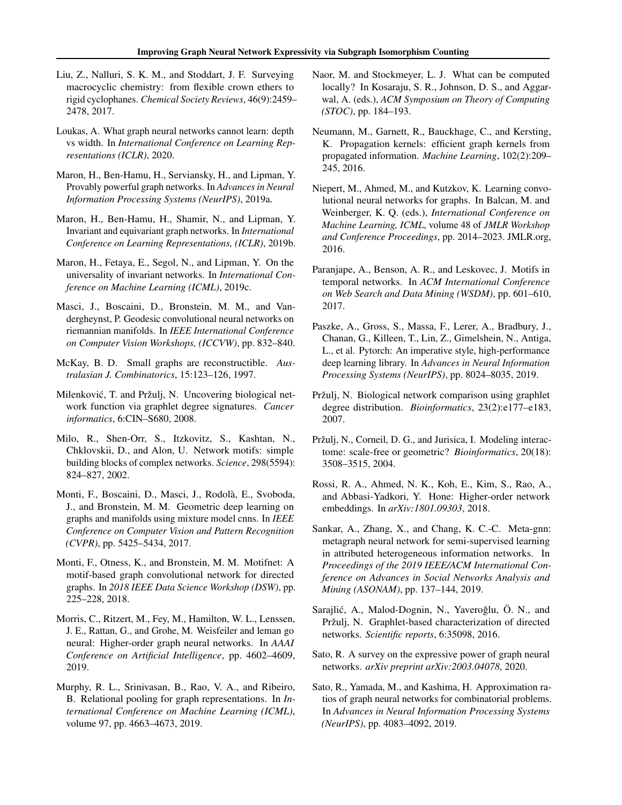- <span id="page-6-0"></span>Liu, Z., Nalluri, S. K. M., and Stoddart, J. F. Surveying macrocyclic chemistry: from flexible crown ethers to rigid cyclophanes. *Chemical Society Reviews*, 46(9):2459– 2478, 2017.
- Loukas, A. What graph neural networks cannot learn: depth vs width. In *International Conference on Learning Representations (ICLR)*, 2020.
- Maron, H., Ben-Hamu, H., Serviansky, H., and Lipman, Y. Provably powerful graph networks. In *Advances in Neural Information Processing Systems (NeurIPS)*, 2019a.
- Maron, H., Ben-Hamu, H., Shamir, N., and Lipman, Y. Invariant and equivariant graph networks. In *International Conference on Learning Representations, (ICLR)*, 2019b.
- Maron, H., Fetaya, E., Segol, N., and Lipman, Y. On the universality of invariant networks. In *International Conference on Machine Learning (ICML)*, 2019c.
- Masci, J., Boscaini, D., Bronstein, M. M., and Vandergheynst, P. Geodesic convolutional neural networks on riemannian manifolds. In *IEEE International Conference on Computer Vision Workshops, (ICCVW)*, pp. 832–840.
- McKay, B. D. Small graphs are reconstructible. *Australasian J. Combinatorics*, 15:123–126, 1997.
- Milenković, T. and Pržulj, N. Uncovering biological network function via graphlet degree signatures. *Cancer informatics*, 6:CIN–S680, 2008.
- Milo, R., Shen-Orr, S., Itzkovitz, S., Kashtan, N., Chklovskii, D., and Alon, U. Network motifs: simple building blocks of complex networks. *Science*, 298(5594): 824–827, 2002.
- Monti, F., Boscaini, D., Masci, J., Rodolà, E., Svoboda, J., and Bronstein, M. M. Geometric deep learning on graphs and manifolds using mixture model cnns. In *IEEE Conference on Computer Vision and Pattern Recognition (CVPR)*, pp. 5425–5434, 2017.
- Monti, F., Otness, K., and Bronstein, M. M. Motifnet: A motif-based graph convolutional network for directed graphs. In *2018 IEEE Data Science Workshop (DSW)*, pp. 225–228, 2018.
- Morris, C., Ritzert, M., Fey, M., Hamilton, W. L., Lenssen, J. E., Rattan, G., and Grohe, M. Weisfeiler and leman go neural: Higher-order graph neural networks. In *AAAI Conference on Artificial Intelligence*, pp. 4602–4609, 2019.
- Murphy, R. L., Srinivasan, B., Rao, V. A., and Ribeiro, B. Relational pooling for graph representations. In *International Conference on Machine Learning (ICML)*, volume 97, pp. 4663–4673, 2019.
- Naor, M. and Stockmeyer, L. J. What can be computed locally? In Kosaraju, S. R., Johnson, D. S., and Aggarwal, A. (eds.), *ACM Symposium on Theory of Computing (STOC)*, pp. 184–193.
- Neumann, M., Garnett, R., Bauckhage, C., and Kersting, K. Propagation kernels: efficient graph kernels from propagated information. *Machine Learning*, 102(2):209– 245, 2016.
- Niepert, M., Ahmed, M., and Kutzkov, K. Learning convolutional neural networks for graphs. In Balcan, M. and Weinberger, K. Q. (eds.), *International Conference on Machine Learning, ICML*, volume 48 of *JMLR Workshop and Conference Proceedings*, pp. 2014–2023. JMLR.org, 2016.
- Paranjape, A., Benson, A. R., and Leskovec, J. Motifs in temporal networks. In *ACM International Conference on Web Search and Data Mining (WSDM)*, pp. 601–610, 2017.
- Paszke, A., Gross, S., Massa, F., Lerer, A., Bradbury, J., Chanan, G., Killeen, T., Lin, Z., Gimelshein, N., Antiga, L., et al. Pytorch: An imperative style, high-performance deep learning library. In *Advances in Neural Information Processing Systems (NeurIPS)*, pp. 8024–8035, 2019.
- Pržulj, N. Biological network comparison using graphlet degree distribution. *Bioinformatics*, 23(2):e177–e183, 2007.
- Pržulj, N., Corneil, D. G., and Jurisica, I. Modeling interactome: scale-free or geometric? *Bioinformatics*, 20(18): 3508–3515, 2004.
- Rossi, R. A., Ahmed, N. K., Koh, E., Kim, S., Rao, A., and Abbasi-Yadkori, Y. Hone: Higher-order network embeddings. In *arXiv:1801.09303*, 2018.
- Sankar, A., Zhang, X., and Chang, K. C.-C. Meta-gnn: metagraph neural network for semi-supervised learning in attributed heterogeneous information networks. In *Proceedings of the 2019 IEEE/ACM International Conference on Advances in Social Networks Analysis and Mining (ASONAM)*, pp. 137–144, 2019.
- Sarajlić, A., Malod-Dognin, N., Yaveroğlu, Ö. N., and Pržulj, N. Graphlet-based characterization of directed networks. *Scientific reports*, 6:35098, 2016.
- Sato, R. A survey on the expressive power of graph neural networks. *arXiv preprint arXiv:2003.04078*, 2020.
- Sato, R., Yamada, M., and Kashima, H. Approximation ratios of graph neural networks for combinatorial problems. In *Advances in Neural Information Processing Systems (NeurIPS)*, pp. 4083–4092, 2019.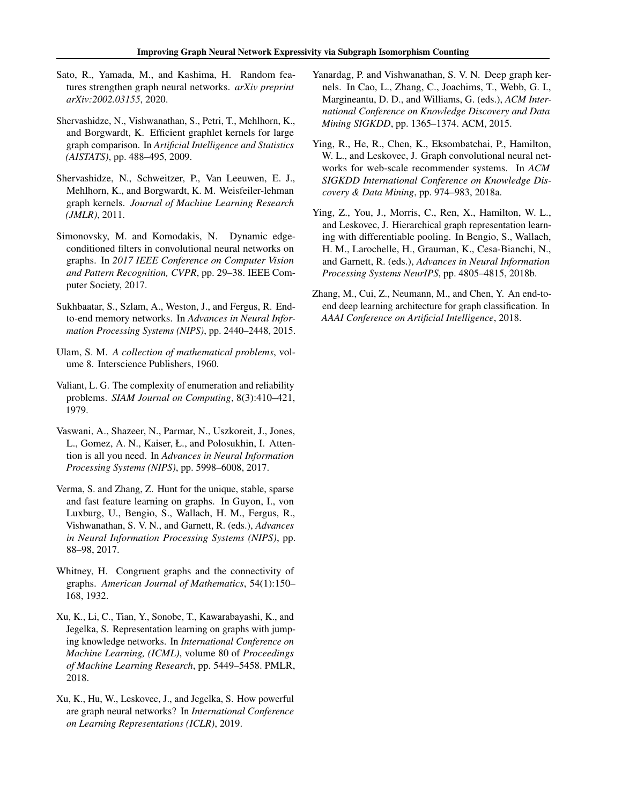- <span id="page-7-0"></span>Sato, R., Yamada, M., and Kashima, H. Random features strengthen graph neural networks. *arXiv preprint arXiv:2002.03155*, 2020.
- Shervashidze, N., Vishwanathan, S., Petri, T., Mehlhorn, K., and Borgwardt, K. Efficient graphlet kernels for large graph comparison. In *Artificial Intelligence and Statistics (AISTATS)*, pp. 488–495, 2009.
- Shervashidze, N., Schweitzer, P., Van Leeuwen, E. J., Mehlhorn, K., and Borgwardt, K. M. Weisfeiler-lehman graph kernels. *Journal of Machine Learning Research (JMLR)*, 2011.
- Simonovsky, M. and Komodakis, N. Dynamic edgeconditioned filters in convolutional neural networks on graphs. In *2017 IEEE Conference on Computer Vision and Pattern Recognition, CVPR*, pp. 29–38. IEEE Computer Society, 2017.
- Sukhbaatar, S., Szlam, A., Weston, J., and Fergus, R. Endto-end memory networks. In *Advances in Neural Information Processing Systems (NIPS)*, pp. 2440–2448, 2015.
- Ulam, S. M. *A collection of mathematical problems*, volume 8. Interscience Publishers, 1960.
- Valiant, L. G. The complexity of enumeration and reliability problems. *SIAM Journal on Computing*, 8(3):410–421, 1979.
- Vaswani, A., Shazeer, N., Parmar, N., Uszkoreit, J., Jones, L., Gomez, A. N., Kaiser, Ł., and Polosukhin, I. Attention is all you need. In *Advances in Neural Information Processing Systems (NIPS)*, pp. 5998–6008, 2017.
- Verma, S. and Zhang, Z. Hunt for the unique, stable, sparse and fast feature learning on graphs. In Guyon, I., von Luxburg, U., Bengio, S., Wallach, H. M., Fergus, R., Vishwanathan, S. V. N., and Garnett, R. (eds.), *Advances in Neural Information Processing Systems (NIPS)*, pp. 88–98, 2017.
- Whitney, H. Congruent graphs and the connectivity of graphs. *American Journal of Mathematics*, 54(1):150– 168, 1932.
- Xu, K., Li, C., Tian, Y., Sonobe, T., Kawarabayashi, K., and Jegelka, S. Representation learning on graphs with jumping knowledge networks. In *International Conference on Machine Learning, (ICML)*, volume 80 of *Proceedings of Machine Learning Research*, pp. 5449–5458. PMLR, 2018.
- Xu, K., Hu, W., Leskovec, J., and Jegelka, S. How powerful are graph neural networks? In *International Conference on Learning Representations (ICLR)*, 2019.
- Yanardag, P. and Vishwanathan, S. V. N. Deep graph kernels. In Cao, L., Zhang, C., Joachims, T., Webb, G. I., Margineantu, D. D., and Williams, G. (eds.), *ACM International Conference on Knowledge Discovery and Data Mining SIGKDD*, pp. 1365–1374. ACM, 2015.
- Ying, R., He, R., Chen, K., Eksombatchai, P., Hamilton, W. L., and Leskovec, J. Graph convolutional neural networks for web-scale recommender systems. In *ACM SIGKDD International Conference on Knowledge Discovery & Data Mining*, pp. 974–983, 2018a.
- Ying, Z., You, J., Morris, C., Ren, X., Hamilton, W. L., and Leskovec, J. Hierarchical graph representation learning with differentiable pooling. In Bengio, S., Wallach, H. M., Larochelle, H., Grauman, K., Cesa-Bianchi, N., and Garnett, R. (eds.), *Advances in Neural Information Processing Systems NeurIPS*, pp. 4805–4815, 2018b.
- Zhang, M., Cui, Z., Neumann, M., and Chen, Y. An end-toend deep learning architecture for graph classification. In *AAAI Conference on Artificial Intelligence*, 2018.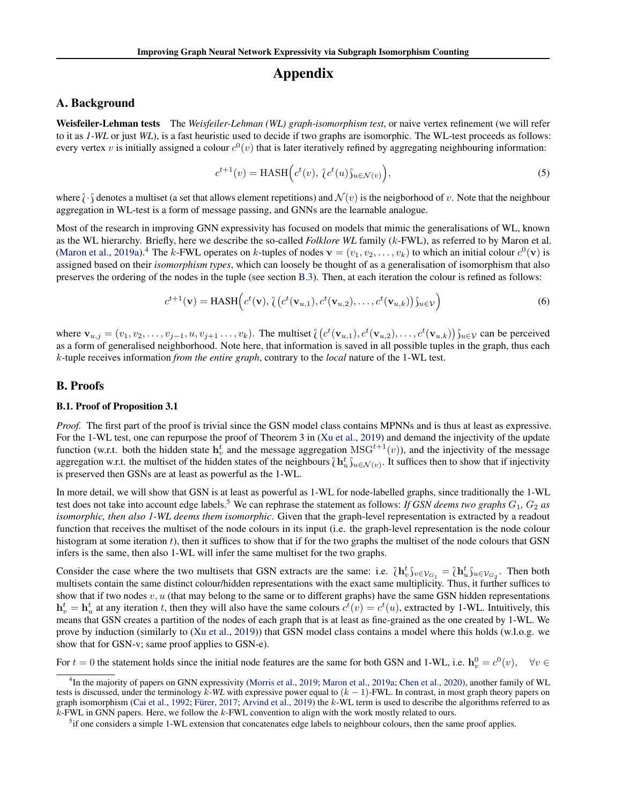# Appendix

### A. Background

Weisfeiler-Lehman tests The *Weisfeiler-Lehman (WL) graph-isomorphism test*, or naive vertex refinement (we will refer to it as *1-WL* or just *WL*), is a fast heuristic used to decide if two graphs are isomorphic. The WL-test proceeds as follows: every vertex v is initially assigned a colour  $c^0(v)$  that is later iteratively refined by aggregating neighbouring information:

$$
c^{t+1}(v) = \text{HASH}\Big(c^t(v), \, \, c^t(u)\mathcal{S}_{u \in \mathcal{N}(v)}\Big),\tag{5}
$$

where  $\partial \cdot \int$  denotes a multiset (a set that allows element repetitions) and  $\mathcal{N}(v)$  is the neigborhood of v. Note that the neighbour aggregation in WL-test is a form of message passing, and GNNs are the learnable analogue.

Most of the research in improving GNN expressivity has focused on models that mimic the generalisations of WL, known as the WL hierarchy. Briefly, here we describe the so-called *Folklore WL* family (k-FWL), as referred to by Maron et al. [\(Maron et al.,](#page-6-0) [2019a\)](#page-6-0).<sup>4</sup> The k-FWL operates on k-tuples of nodes  $\mathbf{v} = (v_1, v_2, \dots, v_k)$  to which an initial colour  $c^0(\mathbf{v})$  is assigned based on their *isomorphism types*, which can loosely be thought of as a generalisation of isomorphism that also preserves the ordering of the nodes in the tuple (see section [B.3\)](#page-9-0). Then, at each iteration the colour is refined as follows:

$$
c^{t+1}(\mathbf{v}) = \text{HASH}\Big(c^t(\mathbf{v}), \{ (c^t(\mathbf{v}_{u,1}), c^t(\mathbf{v}_{u,2}), \dots, c^t(\mathbf{v}_{u,k})) \}_{u \in \mathcal{V}}\Big)
$$
(6)

where  $\mathbf{v}_{u,j} = (v_1, v_2, \dots, v_{j-1}, u, v_{j+1}, \dots, v_k)$ . The multiset  $\left\{ (c^t(\mathbf{v}_{u,1}), c^t(\mathbf{v}_{u,2}), \dots, c^t(\mathbf{v}_{u,k})) \right\}_{u \in \mathcal{V}}$  can be perceived as a form of generalised neighborhood. Note here, that information is saved in all possible tuples in the graph, thus each k-tuple receives information *from the entire graph*, contrary to the *local* nature of the 1-WL test.

#### B. Proofs

#### B.1. Proof of Proposition 3.1

*Proof.* The first part of the proof is trivial since the GSN model class contains MPNNs and is thus at least as expressive. For the 1-WL test, one can repurpose the proof of Theorem 3 in [\(Xu et al.,](#page-7-0) [2019\)](#page-7-0) and demand the injectivity of the update function (w.r.t. both the hidden state  $h_v^t$  and the message aggregation  $MSG^{t+1}(v)$ ), and the injectivity of the message aggregation w.r.t. the multiset of the hidden states of the neighbours  $\{h_u^t\}_{u \in \mathcal{N}(v)}$ . It suffices then to show that if injectivity is preserved then GSNs are at least as powerful as the 1-WL.

In more detail, we will show that GSN is at least as powerful as 1-WL for node-labelled graphs, since traditionally the 1-WL test does not take into account edge labels.<sup>5</sup> We can rephrase the statement as follows: *If GSN deems two graphs*  $G_1$ ,  $G_2$  *as isomorphic, then also 1-WL deems them isomorphic*. Given that the graph-level representation is extracted by a readout function that receives the multiset of the node colours in its input (i.e. the graph-level representation is the node colour histogram at some iteration  $t$ ), then it suffices to show that if for the two graphs the multiset of the node colours that GSN infers is the same, then also 1-WL will infer the same multiset for the two graphs.

Consider the case where the two multisets that GSN extracts are the same: i.e.  $\{h_v^t\}_{v \in \mathcal{V}_{G_1}} = \{h_u^t\}_{u \in \mathcal{V}_{G_2}}$ . Then both multisets contain the same distinct colour/hidden representations with the exact same multisets contain the same distinct colour/hidden representations with the exact same multiplicity. Thus, it further suffices to show that if two nodes  $v, u$  (that may belong to the same or to different graphs) have the same GSN hidden representations  $\mathbf{h}_v^t = \mathbf{h}_u^t$  at any iteration t, then they will also have the same colours  $c^t(v) = c^t(u)$ , extracted by 1-WL. Intuitively, this means that GSN creates a partition of the nodes of each graph that is at least as fine-grained as the one created by 1-WL. We prove by induction (similarly to [\(Xu et al.,](#page-7-0) [2019\)](#page-7-0)) that GSN model class contains a model where this holds (w.l.o.g. we show that for GSN-v; same proof applies to GSN-e).

For  $t = 0$  the statement holds since the initial node features are the same for both GSN and 1-WL, i.e.  $h_v^0 = c^0(v)$ ,  $\forall v \in$ 

<sup>&</sup>lt;sup>4</sup>In the majority of papers on GNN expressivity [\(Morris et al.,](#page-6-0) [2019;](#page-6-0) [Maron et al.,](#page-6-0) [2019a;](#page-6-0) [Chen et al.,](#page-4-0) [2020\)](#page-4-0), another family of WL tests is discussed, under the terminology k-WL with expressive power equal to  $(k - 1)$ -FWL. In contrast, in most graph theory papers on graph isomorphism [\(Cai et al.,](#page-4-0) [1992;](#page-4-0) [Fürer,](#page-5-0) [2017;](#page-5-0) [Arvind et al.,](#page-4-0) [2019\)](#page-4-0) the k-WL term is used to describe the algorithms referred to as  $k$ -FWL in GNN papers. Here, we follow the  $k$ -FWL convention to align with the work mostly related to ours.

<sup>&</sup>lt;sup>5</sup>if one considers a simple 1-WL extension that concatenates edge labels to neighbour colours, then the same proof applies.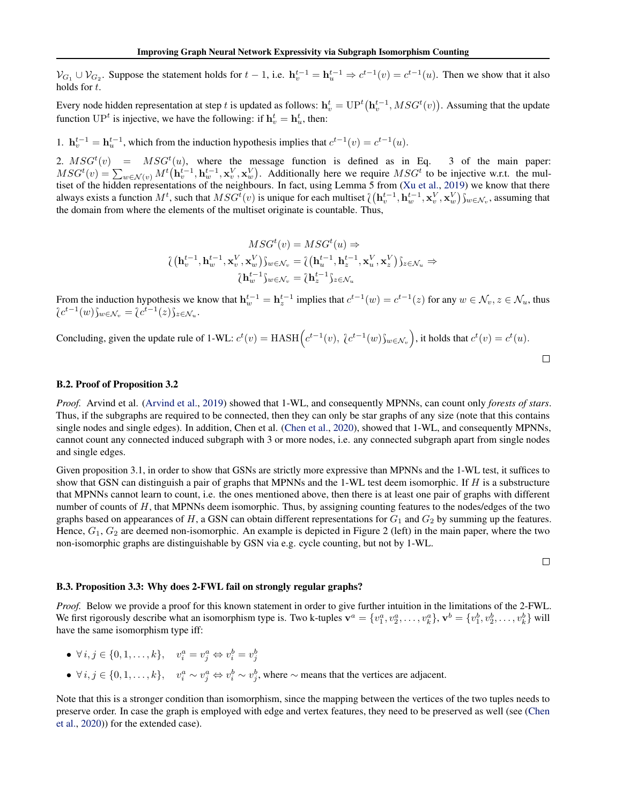<span id="page-9-0"></span> $\mathcal{V}_{G_1} \cup \mathcal{V}_{G_2}$ . Suppose the statement holds for  $t-1$ , i.e.  $\mathbf{h}_v^{t-1} = \mathbf{h}_u^{t-1} \Rightarrow c^{t-1}(v) = c^{t-1}(u)$ . Then we show that it also holds for t.

Every node hidden representation at step  $t$  is updated as follows:  $\mathbf{h}_v^t = \mathrm{UP}^t\big(\mathbf{h}_v^{t-1}, MSG^t(v)\big).$  Assuming that the update function  $\mathbf{UP}^t$  is injective, we have the following: if  $\mathbf{h}_v^t = \mathbf{h}_u^t$ , then:

1.  $\mathbf{h}_{v}^{t-1} = \mathbf{h}_{u}^{t-1}$ , which from the induction hypothesis implies that  $c^{t-1}(v) = c^{t-1}(u)$ .

2.  $MSG<sup>t</sup>(v)$  =  $MSG<sup>t</sup>(u)$ , where the message function is defined as in Eq. 3 of the main paper:  $MSG^t(v) = \sum_{w \in \mathcal{N}(v)} M^t(\mathbf{h}_v^{t-1}, \mathbf{h}_w^{t-1}, \mathbf{x}_v^V, \mathbf{x}_w^V)$ . Additionally here we require  $MSG^t$  to be injective w.r.t. the multiset of the hidden representations of the neighbours. In fact, using Lemma 5 from [\(Xu et al.,](#page-7-0) [2019\)](#page-7-0) we know that there always exists a function  $M^t$ , such that  $MSG^t(v)$  is unique for each multiset  $\left\{ (\mathbf{h}_v^{t-1}, \mathbf{h}_w^{t-1}, \mathbf{x}_v^V, \mathbf{x}_w^V) \right\}_{w \in \mathcal{N}_v}$ , assuming that the domain from where the elements of the multiset criginate is the domain from where the elements of the multiset originate is countable. Thus,

$$
MSG^{t}(v) = MSG^{t}(u) \Rightarrow
$$
  

$$
\langle (\mathbf{h}_{v}^{t-1}, \mathbf{h}_{w}^{t-1}, \mathbf{x}_{v}^{V}, \mathbf{x}_{w}^{V}) \rangle_{w \in \mathcal{N}_{v}} = \langle (\mathbf{h}_{u}^{t-1}, \mathbf{h}_{z}^{t-1}, \mathbf{x}_{u}^{V}, \mathbf{x}_{z}^{V}) \rangle_{z \in \mathcal{N}_{u}} \Rightarrow
$$
  

$$
\langle \mathbf{h}_{w}^{t-1} \rangle_{w \in \mathcal{N}_{v}} = \langle \mathbf{h}_{z}^{t-1} \rangle_{z \in \mathcal{N}_{u}}
$$

From the induction hypothesis we know that  $h_w^{t-1} = h_z^{t-1}$  implies that  $c^{t-1}(w) = c^{t-1}(z)$  for any  $w \in \mathcal{N}_v, z \in \mathcal{N}_u$ , thus  $\{c^{t-1}(w)\}_{w\in\mathcal{N}_v}=\{c^{t-1}(z)\}_{z\in\mathcal{N}_u}.$ 

Concluding, given the update rule of 1-WL: 
$$
c^t(v) = \text{HASH}\Big(c^{t-1}(v), \{c^{t-1}(w)\}_{w \in \mathcal{N}_v}\Big)
$$
, it holds that  $c^t(v) = c^t(u)$ .

#### B.2. Proof of Proposition 3.2

*Proof.* Arvind et al. [\(Arvind et al.,](#page-4-0) [2019\)](#page-4-0) showed that 1-WL, and consequently MPNNs, can count only *forests of stars*. Thus, if the subgraphs are required to be connected, then they can only be star graphs of any size (note that this contains single nodes and single edges). In addition, Chen et al. [\(Chen et al.,](#page-4-0) [2020\)](#page-4-0), showed that 1-WL, and consequently MPNNs, cannot count any connected induced subgraph with 3 or more nodes, i.e. any connected subgraph apart from single nodes and single edges.

Given proposition 3.1, in order to show that GSNs are strictly more expressive than MPNNs and the 1-WL test, it suffices to show that GSN can distinguish a pair of graphs that MPNNs and the 1-WL test deem isomorphic. If H is a substructure that MPNNs cannot learn to count, i.e. the ones mentioned above, then there is at least one pair of graphs with different number of counts of  $H$ , that MPNNs deem isomorphic. Thus, by assigning counting features to the nodes/edges of the two graphs based on appearances of  $H$ , a GSN can obtain different representations for  $G_1$  and  $G_2$  by summing up the features. Hence,  $G_1$ ,  $G_2$  are deemed non-isomorphic. An example is depicted in Figure 2 (left) in the main paper, where the two non-isomorphic graphs are distinguishable by GSN via e.g. cycle counting, but not by 1-WL.

 $\Box$ 

#### B.3. Proposition 3.3: Why does 2-FWL fail on strongly regular graphs?

*Proof.* Below we provide a proof for this known statement in order to give further intuition in the limitations of the 2-FWL. We first rigorously describe what an isomorphism type is. Two k-tuples  $\mathbf{v}^a = \{v_1^a, v_2^a, \dots, v_k^a\}, \mathbf{v}^b = \{v_1^b, v_2^b, \dots, v_k^b\}$  will have the same isomorphism type iff:

- $\forall i, j \in \{0, 1, \ldots, k\}, \quad v_i^a = v_j^a \Leftrightarrow v_i^b = v_j^b$
- $\forall i, j \in \{0, 1, \ldots, k\}, \quad v_i^a \sim v_j^a \Leftrightarrow v_i^b \sim v_j^b$ , where  $\sim$  means that the vertices are adjacent.

Note that this is a stronger condition than isomorphism, since the mapping between the vertices of the two tuples needs to preserve order. In case the graph is employed with edge and vertex features, they need to be preserved as well (see [\(Chen](#page-4-0) [et al.,](#page-4-0) [2020\)](#page-4-0)) for the extended case).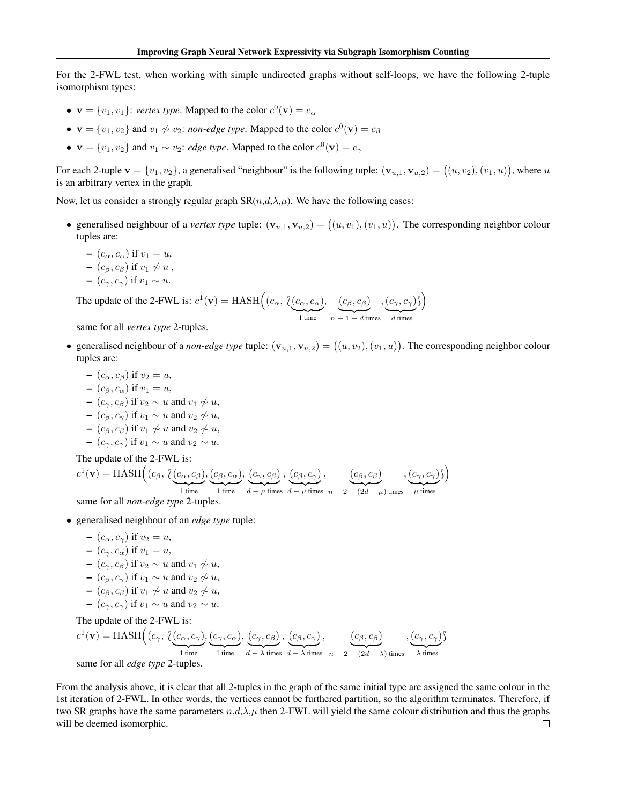For the 2-FWL test, when working with simple undirected graphs without self-loops, we have the following 2-tuple isomorphism types:

- $\mathbf{v} = \{v_1, v_1\}$ : *vertex type*. Mapped to the color  $c^0(\mathbf{v}) = c_\alpha$
- $\mathbf{v} = \{v_1, v_2\}$  and  $v_1 \not\sim v_2$ : *non-edge type*. Mapped to the color  $c^0(\mathbf{v}) = c_{\beta}$
- $\mathbf{v} = \{v_1, v_2\}$  and  $v_1 \sim v_2$ : *edge type*. Mapped to the color  $c^0(\mathbf{v}) = c_\gamma$

For each 2-tuple  $\mathbf{v} = \{v_1, v_2\}$ , a generalised "neighbour" is the following tuple:  $(\mathbf{v}_{u,1}, \mathbf{v}_{u,2}) = ((u, v_2), (v_1, u))$ , where  $u$ is an arbitrary vertex in the graph.

Now, let us consider a strongly regular graph  $SR(n,d,\lambda,\mu)$ . We have the following cases:

- generalised neighbour of a *vertex type* tuple:  $(\mathbf{v}_{u,1}, \mathbf{v}_{u,2}) = ((u, v_1), (v_1, u))$ . The corresponding neighbor colour tuples are:
	- $-(c_{\alpha}, c_{\alpha})$  if  $v_1 = u$ ,
	- $(c_{\beta}, c_{\beta})$  if  $v_1 \not\sim u$ ,
	- $-(c_{\gamma}, c_{\gamma})$  if  $v_1 \sim u$ .

The update of the 2-FWL is:  $c^1(\mathbf{v}) = \text{HASH}\left((c_{\alpha}, \underbrace{\{c_{\alpha}, c_{\alpha}\}}_{1 \text{ time}})\right)$  $, \quad (c_{\beta}, c_{\beta})$  $n-1-d$  times ,  $(c_\gamma, c_\gamma)$  $d$  times  $\cdot$  $\setminus$ 

same for all *vertex type* 2-tuples.

- generalised neighbour of a *non-edge type* tuple:  $(v_{u,1}, v_{u,2}) = ((u, v_2), (v_1, u))$ . The corresponding neighbor colour tuples are:
	- $-(c_{\alpha}, c_{\beta})$  if  $v_2 = u$ ,
	- $-(c_{\beta}, c_{\alpha})$  if  $v_1 = u$ ,
	- $(c_\gamma, c_\beta)$  if  $v_2 \sim u$  and  $v_1 \not\sim u$ ,
	- $(c_{\beta}, c_{\gamma})$  if  $v_1 \sim u$  and  $v_2 \not\sim u$ ,
	- $(c_{\beta}, c_{\beta})$  if  $v_1 \nsim u$  and  $v_2 \nsim u$ ,
	- $(c_{\gamma}, c_{\gamma})$  if  $v_1 \sim u$  and  $v_2 \sim u$ .

The update of the 2-FWL is:

$$
c^{1}(\mathbf{v}) = \text{HASH}\left((c_{\beta}, \underbrace{\{(\mathbf{c}_{\alpha}, \mathbf{c}_{\beta}), (\mathbf{c}_{\beta}, \mathbf{c}_{\alpha})\}}_{1 \text{ time}}, \underbrace{\{c_{\gamma}, c_{\beta}\}}_{1 \text{ time}}, \underbrace{\{c_{\beta}, c_{\gamma}\}}_{d-\mu \text{ times}}, \underbrace{\{c_{\beta}, c_{\gamma}\}}_{d-\mu \text{ times}}, \underbrace{\{c_{\beta}, c_{\beta}\}}_{n-2-(2d-\mu) \text{ times}}, \underbrace{\{c_{\gamma}, c_{\gamma}\}}_{\mu \text{ times}}
$$

same for all *non-edge type* 2-tuples.

- generalised neighbour of an *edge type* tuple:
	- $-(c_{\alpha}, c_{\gamma})$  if  $v_2 = u$ ,
	- $-(c_{\gamma}, c_{\alpha})$  if  $v_1 = u$ ,
	- $(c_{\gamma}, c_{\beta})$  if  $v_2 \sim u$  and  $v_1 \not\sim u$ ,
	- $(c_8, c_9)$  if  $v_1 \sim u$  and  $v_2 \not\sim u$ ,
	- $(c_{\beta}, c_{\beta})$  if  $v_1 \nsim u$  and  $v_2 \nsim u$ ,
	- $(c_2, c_2)$  if  $v_1 \sim u$  and  $v_2 \sim u$ .

The update of the 2-FWL is:

 $c^1(\mathbf{v}) = \text{HASH}\left((c_\gamma, \ \underbrace{\text{(}c_\alpha, c_\gamma \text{)}}_{\text{1 time}}\right)$ ,  $(c_{\gamma}, c_{\alpha})$  $\frac{1}{1}$  time ,  $(c_{\gamma}, c_{\beta})$  $\overline{d - \lambda}$  times ,  $(c_{\beta}, c_{\gamma})$  $\overline{d - \lambda}$  times ,  $(c_{\beta}, c_{\beta})$  $n - 2 - (2d - \lambda)$  times ,  $(c_\gamma, c_\gamma)$  $\lambda$  times  $\cdot$ same for all *edge type* 2-tuples.

From the analysis above, it is clear that all 2-tuples in the graph of the same initial type are assigned the same colour in the 1st iteration of 2-FWL. In other words, the vertices cannot be furthered partition, so the algorithm terminates. Therefore, if two SR graphs have the same parameters  $n,d,\lambda,\mu$  then 2-FWL will yield the same colour distribution and thus the graphs will be deemed isomorphic. $\Box$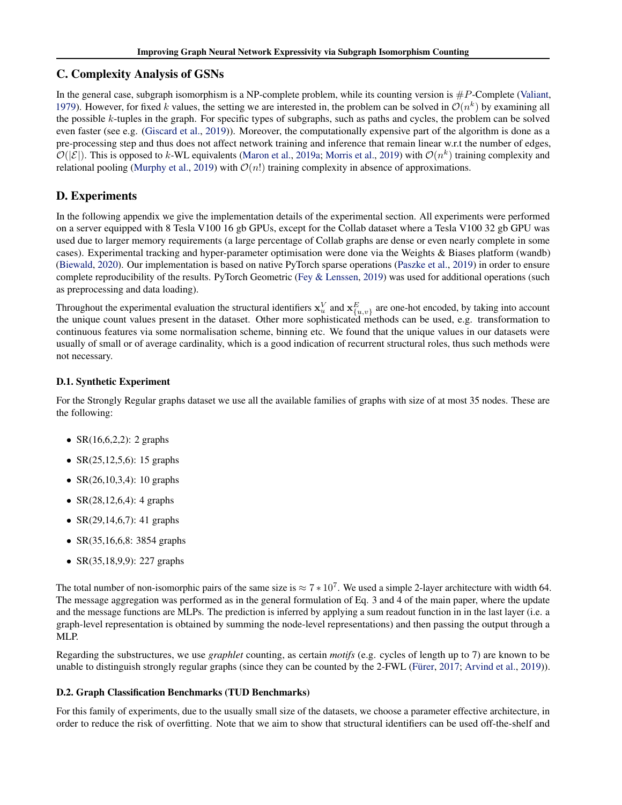# C. Complexity Analysis of GSNs

In the general case, subgraph isomorphism is a NP-complete problem, while its counting version is  $\#P$ -Complete [\(Valiant,](#page-7-0) [1979\)](#page-7-0). However, for fixed k values, the setting we are interested in, the problem can be solved in  $\mathcal{O}(n^k)$  by examining all the possible  $k$ -tuples in the graph. For specific types of subgraphs, such as paths and cycles, the problem can be solved even faster (see e.g. [\(Giscard et al.,](#page-5-0) [2019\)](#page-5-0)). Moreover, the computationally expensive part of the algorithm is done as a pre-processing step and thus does not affect network training and inference that remain linear w.r.t the number of edges,  $\mathcal{O}(|\mathcal{E}|)$ . This is opposed to k-WL equivalents [\(Maron et al.,](#page-6-0) [2019a;](#page-6-0) [Morris et al.,](#page-6-0) [2019\)](#page-6-0) with  $\mathcal{O}(n^k)$  training complexity and relational pooling [\(Murphy et al.,](#page-6-0) [2019\)](#page-6-0) with  $\mathcal{O}(n!)$  training complexity in absence of approximations.

# D. Experiments

In the following appendix we give the implementation details of the experimental section. All experiments were performed on a server equipped with 8 Tesla V100 16 gb GPUs, except for the Collab dataset where a Tesla V100 32 gb GPU was used due to larger memory requirements (a large percentage of Collab graphs are dense or even nearly complete in some cases). Experimental tracking and hyper-parameter optimisation were done via the Weights & Biases platform (wandb) [\(Biewald,](#page-4-0) [2020\)](#page-4-0). Our implementation is based on native PyTorch sparse operations [\(Paszke et al.,](#page-6-0) [2019\)](#page-6-0) in order to ensure complete reproducibility of the results. PyTorch Geometric [\(Fey & Lenssen,](#page-4-0) [2019\)](#page-4-0) was used for additional operations (such as preprocessing and data loading).

Throughout the experimental evaluation the structural identifiers  $x_u^V$  and  $x_{\{u,v\}}^E$  are one-hot encoded, by taking into account the unique count values present in the dataset. Other more sophisticated methods can be used, e.g. transformation to continuous features via some normalisation scheme, binning etc. We found that the unique values in our datasets were usually of small or of average cardinality, which is a good indication of recurrent structural roles, thus such methods were not necessary.

## D.1. Synthetic Experiment

For the Strongly Regular graphs dataset we use all the available families of graphs with size of at most 35 nodes. These are the following:

- $SR(16, 6, 2, 2)$ : 2 graphs
- SR(25,12,5,6): 15 graphs
- $SR(26,10,3,4)$ : 10 graphs
- $SR(28, 12, 6, 4)$ : 4 graphs
- $SR(29,14,6,7)$ : 41 graphs
- SR(35,16,6,8: 3854 graphs
- SR(35,18,9,9): 227 graphs

The total number of non-isomorphic pairs of the same size is  $\approx 7 * 10^7$ . We used a simple 2-layer architecture with width 64. The message aggregation was performed as in the general formulation of Eq. 3 and 4 of the main paper, where the update and the message functions are MLPs. The prediction is inferred by applying a sum readout function in in the last layer (i.e. a graph-level representation is obtained by summing the node-level representations) and then passing the output through a MLP.

Regarding the substructures, we use *graphlet* counting, as certain *motifs* (e.g. cycles of length up to 7) are known to be unable to distinguish strongly regular graphs (since they can be counted by the 2-FWL [\(Fürer,](#page-5-0) [2017;](#page-5-0) [Arvind et al.,](#page-4-0) [2019\)](#page-4-0)).

## D.2. Graph Classification Benchmarks (TUD Benchmarks)

For this family of experiments, due to the usually small size of the datasets, we choose a parameter effective architecture, in order to reduce the risk of overfitting. Note that we aim to show that structural identifiers can be used off-the-shelf and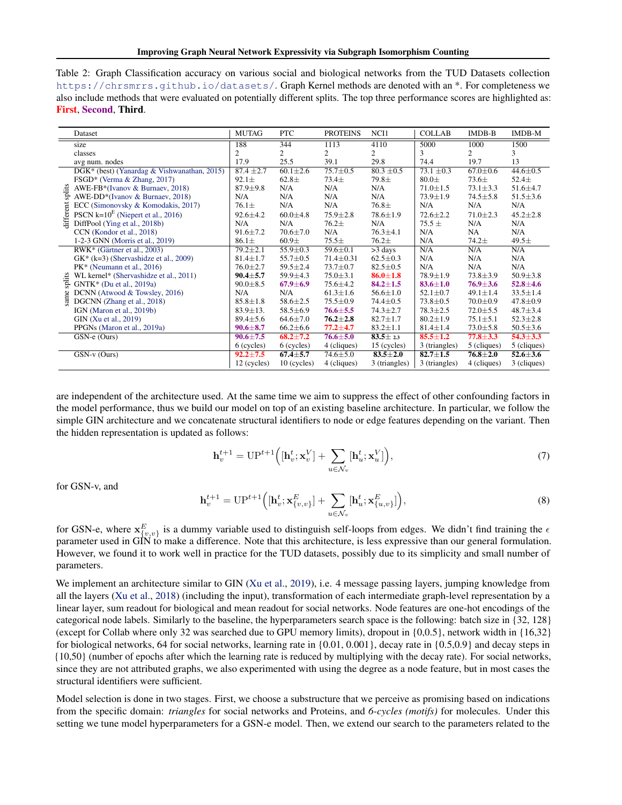<span id="page-12-0"></span>

| Table 2: Graph Classification accuracy on various social and biological networks from the TUD Datasets collection              |
|--------------------------------------------------------------------------------------------------------------------------------|
| https://chrsmrrs.github.io/datasets/.Graph Kernel methods are denoted with an *. For completeness we                           |
| also include methods that were evaluated on potentially different splits. The top three performance scores are highlighted as: |
| <b>First, Second, Third.</b>                                                                                                   |

| Dataset                                           |                                             | <b>MUTAG</b>   | <b>PTC</b>     | <b>PROTEINS</b> | NCI1           | <b>COLLAB</b>  | $IMDB-B$       | IMDB-M         |
|---------------------------------------------------|---------------------------------------------|----------------|----------------|-----------------|----------------|----------------|----------------|----------------|
| size                                              |                                             | 188            | 344            | 1113            | 4110           | 5000           | 1000           | 1500           |
| classes                                           |                                             | $\overline{2}$ | $\overline{c}$ | $\overline{c}$  | 2              | 3              | 2              | 3              |
| avg num. nodes                                    |                                             | 17.9           | 25.5           | 39.1            | 29.8           | 74.4           | 19.7           | 13             |
|                                                   | DGK* (best) (Yanardag & Vishwanathan, 2015) | $87.4 \pm 2.7$ | $60.1 \pm 2.6$ | $75.7 \pm 0.5$  | $80.3 \pm 0.5$ | $73.1 \pm 0.3$ | $67.0 \pm 0.6$ | $44.6 \pm 0.5$ |
| FSGD* (Verma & Zhang, 2017)                       |                                             | $92.1 \pm$     | $62.8\pm$      | $73.4 \pm$      | $79.8\pm$      | $80.0\pm$      | $73.6\pm$      | $52.4\pm$      |
| AWE-FB*(Ivanov & Burnaev, 2018)<br>splits         |                                             | $87.9 \pm 9.8$ | N/A            | N/A             | N/A            | $71.0 \pm 1.5$ | $73.1 \pm 3.3$ | $51.6 \pm 4.7$ |
| AWE-DD*(Ivanov & Burnaev, 2018)                   |                                             | N/A            | N/A            | N/A             | N/A            | $73.9 \pm 1.9$ | $74.5 \pm 5.8$ | $51.5 \pm 3.6$ |
| ECC (Simonovsky & Komodakis, 2017)                |                                             | $76.1 \pm$     | N/A            | N/A             | $76.8\pm$      | N/A            | N/A            | N/A            |
| lifferent<br>PSCN $k=10^E$ (Niepert et al., 2016) |                                             | $92.6 \pm 4.2$ | $60.0 \pm 4.8$ | $75.9 \pm 2.8$  | $78.6 \pm 1.9$ | $72.6 \pm 2.2$ | $71.0 \pm 2.3$ | $45.2 \pm 2.8$ |
| DiffPool (Ying et al., 2018b)                     |                                             | N/A            | N/A            | $76.2 +$        | N/A            | $75.5 \pm$     | N/A            | N/A            |
| CCN (Kondor et al., 2018)                         |                                             | $91.6 \pm 7.2$ | $70.6 + 7.0$   | N/A             | $76.3 \pm 4.1$ | N/A            | NA             | N/A            |
| 1-2-3 GNN (Morris et al., 2019)                   |                                             | $86.1\pm$      | $60.9\pm$      | $75.5\pm$       | $76.2\pm$      | N/A            | $74.2 +$       | 49.5 $\pm$     |
| RWK* (Gärtner et al., 2003)                       |                                             | $79.2 \pm 2.1$ | $55.9 \pm 0.3$ | $59.6 \pm 0.1$  | $>3$ days      | N/A            | N/A            | N/A            |
| $GK^*$ (k=3) (Shervashidze et al., 2009)          |                                             | $81.4 \pm 1.7$ | $55.7 \pm 0.5$ | $71.4 \pm 0.31$ | $62.5 \pm 0.3$ | N/A            | N/A            | N/A            |
| $PK*$ (Neumann et al., 2016)                      |                                             | $76.0 \pm 2.7$ | $59.5 \pm 2.4$ | $73.7 \pm 0.7$  | $82.5 \pm 0.5$ | N/A            | N/A            | N/A            |
| WL kernel* (Shervashidze et al., 2011)            |                                             | $90.4 \pm 5.7$ | 59.9±4.3       | $75.0 \pm 3.1$  | $86.0 \pm 1.8$ | $78.9 \pm 1.9$ | $73.8 \pm 3.9$ | $50.9 \pm 3.8$ |
| splits<br>GNTK* (Du et al., 2019a)                |                                             | $90.0 \pm 8.5$ | $67.9 \pm 6.9$ | $75.6 \pm 4.2$  | $84.2 \pm 1.5$ | $83.6 \pm 1.0$ | $76.9 \pm 3.6$ | $52.8 \pm 4.6$ |
| DCNN (Atwood & Towsley, 2016)<br>same             |                                             | N/A            | N/A            | $61.3 \pm 1.6$  | $56.6 \pm 1.0$ | $52.1 \pm 0.7$ | $49.1 \pm 1.4$ | $33.5 \pm 1.4$ |
| DGCNN (Zhang et al., 2018)                        |                                             | $85.8 \pm 1.8$ | $58.6 \pm 2.5$ | $75.5 \pm 0.9$  | $74.4 \pm 0.5$ | $73.8 \pm 0.5$ | $70.0 \pm 0.9$ | $47.8 \pm 0.9$ |
| IGN (Maron et al., 2019b)                         |                                             | $83.9 \pm 13.$ | $58.5 \pm 6.9$ | $76.6 \pm 5.5$  | $74.3 \pm 2.7$ | $78.3 \pm 2.5$ | $72.0 \pm 5.5$ | $48.7 \pm 3.4$ |
| GIN (Xu et al., 2019)                             |                                             | $89.4 \pm 5.6$ | $64.6 \pm 7.0$ | $76.2 \pm 2.8$  | $82.7 \pm 1.7$ | $80.2 \pm 1.9$ | $75.1 \pm 5.1$ | $52.3 \pm 2.8$ |
| PPGNs (Maron et al., 2019a)                       |                                             | $90.6 \pm 8.7$ | $66.2 \pm 6.6$ | $77.2 + 4.7$    | $83.2 \pm 1.1$ | $81.4 \pm 1.4$ | $73.0 \pm 5.8$ | $50.5 \pm 3.6$ |
| GSN-e (Ours)                                      |                                             | $90.6 \pm 7.5$ | $68.2 \pm 7.2$ | $76.6 \pm 5.0$  | $83.5 \pm 2.3$ | $85.5 \pm 1.2$ | $77.8 \pm 3.3$ | $54.3 \pm 3.3$ |
|                                                   |                                             | 6 (cycles)     | 6 (cycles)     | 4 (cliques)     | 15 (cycles)    | 3 (triangles)  | 5 (cliques)    | 5 (cliques)    |
| $GSN-v$ (Ours)                                    |                                             | $92.2 \pm 7.5$ | $67.4 \pm 5.7$ | $74.6 \pm 5.0$  | $83.5 \pm 2.0$ | $82.7 \pm 1.5$ | $76.8 \pm 2.0$ | $52.6 \pm 3.6$ |
|                                                   |                                             | 12 (cycles)    | $10$ (cycles)  | 4 (cliques)     | 3 (triangles)  | 3 (triangles)  | 4 (cliques)    | 3 (cliques)    |

are independent of the architecture used. At the same time we aim to suppress the effect of other confounding factors in the model performance, thus we build our model on top of an existing baseline architecture. In particular, we follow the simple GIN architecture and we concatenate structural identifiers to node or edge features depending on the variant. Then the hidden representation is updated as follows:

$$
\mathbf{h}_{v}^{t+1} = \mathbf{U} \mathbf{P}^{t+1} \Big( [\mathbf{h}_{v}^{t}; \mathbf{x}_{v}^{V}] + \sum_{u \in \mathcal{N}_{v}} [\mathbf{h}_{u}^{t}; \mathbf{x}_{u}^{V}] \Big), \tag{7}
$$

for GSN-v, and

$$
\mathbf{h}_{v}^{t+1} = \mathbf{U} \mathbf{P}^{t+1} \Big( [\mathbf{h}_{v}^{t}; \mathbf{x}_{\{v,v\}}^{E}] + \sum_{u \in \mathcal{N}_{v}} [\mathbf{h}_{u}^{t}; \mathbf{x}_{\{u,v\}}^{E}] \Big), \tag{8}
$$

for GSN-e, where  $x_{\{v,v\}}^E$  is a dummy variable used to distinguish self-loops from edges. We didn't find training the  $\epsilon$ parameter used in GIN to make a difference. Note that this architecture, is less expressive than our general formulation. However, we found it to work well in practice for the TUD datasets, possibly due to its simplicity and small number of parameters.

We implement an architecture similar to GIN [\(Xu et al.,](#page-7-0) [2019\)](#page-7-0), i.e. 4 message passing layers, jumping knowledge from all the layers [\(Xu et al.,](#page-7-0) [2018\)](#page-7-0) (including the input), transformation of each intermediate graph-level representation by a linear layer, sum readout for biological and mean readout for social networks. Node features are one-hot encodings of the categorical node labels. Similarly to the baseline, the hyperparameters search space is the following: batch size in {32, 128} (except for Collab where only 32 was searched due to GPU memory limits), dropout in {0,0.5}, network width in {16,32} for biological networks, 64 for social networks, learning rate in  $\{0.01, 0.001\}$ , decay rate in  $\{0.5, 0.9\}$  and decay steps in {10,50} (number of epochs after which the learning rate is reduced by multiplying with the decay rate). For social networks, since they are not attributed graphs, we also experimented with using the degree as a node feature, but in most cases the structural identifiers were sufficient.

Model selection is done in two stages. First, we choose a substructure that we perceive as promising based on indications from the specific domain: *triangles* for social networks and Proteins, and *6-cycles (motifs)* for molecules. Under this setting we tune model hyperparameters for a GSN-e model. Then, we extend our search to the parameters related to the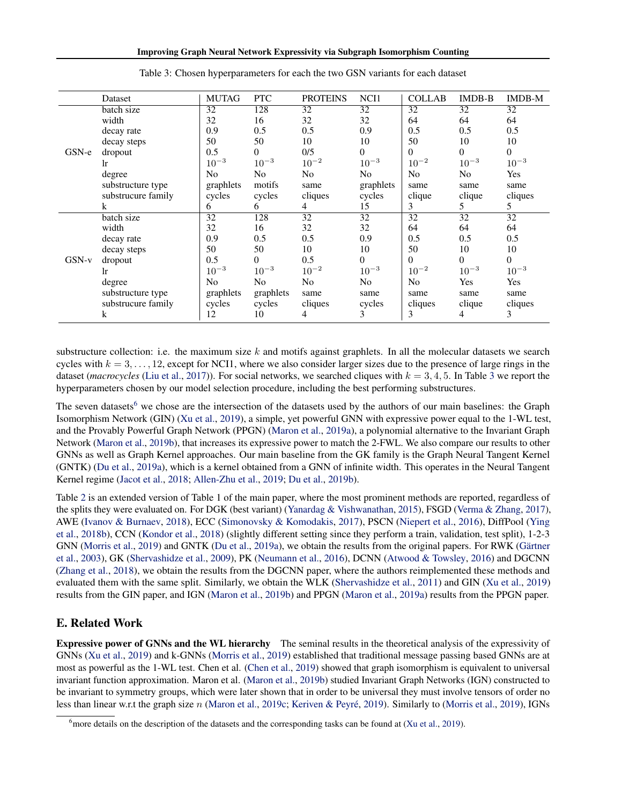|         | Dataset            | <b>MUTAG</b>   | <b>PTC</b>     | <b>PROTEINS</b> | NCI1            | <b>COLLAB</b>   | IMDB-B          | IMDB-M       |
|---------|--------------------|----------------|----------------|-----------------|-----------------|-----------------|-----------------|--------------|
| GSN-e   | batch size         | 32             | 128            | 32              | $\overline{32}$ | $\overline{32}$ | $\overline{32}$ | 32           |
|         | width              | 32             | 16             | 32              | 32              | 64              | 64              | 64           |
|         | decay rate         | 0.9            | 0.5            | 0.5             | 0.9             | 0.5             | 0.5             | 0.5          |
|         | decay steps        | 50             | 50             | 10              | 10              | 50              | 10              | 10           |
|         | dropout            | 0.5            | $\overline{0}$ | 0/5             | $\theta$        | $\theta$        | $\mathbf{0}$    | $\theta$     |
|         | 1r                 | $10^{-3}$      | $10^{-3}$      | $10^{-2}$       | $10^{-3}$       | $10^{-2}$       | $10^{-3}$       | $10^{-3}$    |
|         | degree             | N <sub>o</sub> | No             | N <sub>o</sub>  | N <sub>o</sub>  | N <sub>o</sub>  | No              | Yes          |
|         | substructure type  | graphlets      | motifs         | same            | graphlets       | same            | same            | same         |
|         | substrucure family | cycles         | cycles         | cliques         | cycles          | clique          | clique          | cliques      |
|         | k                  | 6              | 6              | $\overline{4}$  | 15              | 3               | 5               | 5            |
|         | batch size         | 32             | 128            | $\overline{32}$ | 32              | 32              | $\overline{32}$ | 32           |
|         | width              | 32             | 16             | 32              | 32              | 64              | 64              | 64           |
|         | decay rate         | 0.9            | 0.5            | 0.5             | 0.9             | 0.5             | 0.5             | 0.5          |
|         | decay steps        | 50             | 50             | 10              | 10              | 50              | 10              | 10           |
| $GSN-v$ | dropout            | 0.5            | $\overline{0}$ | 0.5             | $\theta$        | $\theta$        | $\Omega$        | $\mathbf{0}$ |
|         | 1r                 | $10^{-3}$      | $10^{-3}$      | $10^{-2}$       | $10^{-3}$       | $10^{-2}$       | $10^{-3}$       | $10^{-3}$    |
|         | degree             | No             | No             | No              | N <sub>o</sub>  | N <sub>o</sub>  | Yes             | Yes          |
|         | substructure type  | graphlets      | graphlets      | same            | same            | same            | same            | same         |
|         | substrucure family | cycles         | cycles         | cliques         | cycles          | cliques         | clique          | cliques      |
|         | k                  | 12             | 10             | 4               | 3               | 3               | 4               | 3            |

Table 3: Chosen hyperparameters for each the two GSN variants for each dataset

substructure collection: i.e. the maximum size  $k$  and motifs against graphlets. In all the molecular datasets we search cycles with  $k = 3, \ldots, 12$ , except for NCI1, where we also consider larger sizes due to the presence of large rings in the dataset (*macrocycles* [\(Liu et al.,](#page-6-0) [2017\)](#page-6-0)). For social networks, we searched cliques with  $k = 3, 4, 5$ . In Table 3 we report the hyperparameters chosen by our model selection procedure, including the best performing substructures.

The seven datasets<sup>6</sup> we chose are the intersection of the datasets used by the authors of our main baselines: the Graph Isomorphism Network (GIN) [\(Xu et al.,](#page-7-0) [2019\)](#page-7-0), a simple, yet powerful GNN with expressive power equal to the 1-WL test, and the Provably Powerful Graph Network (PPGN) [\(Maron et al.,](#page-6-0) [2019a\)](#page-6-0), a polynomial alternative to the Invariant Graph Network [\(Maron et al.,](#page-6-0) [2019b\)](#page-6-0), that increases its expressive power to match the 2-FWL. We also compare our results to other GNNs as well as Graph Kernel approaches. Our main baseline from the GK family is the Graph Neural Tangent Kernel (GNTK) [\(Du et al.,](#page-4-0) [2019a\)](#page-4-0), which is a kernel obtained from a GNN of infinite width. This operates in the Neural Tangent Kernel regime [\(Jacot et al.,](#page-5-0) [2018;](#page-5-0) [Allen-Zhu et al.,](#page-4-0) [2019;](#page-4-0) [Du et al.,](#page-4-0) [2019b\)](#page-4-0).

Table [2](#page-12-0) is an extended version of Table 1 of the main paper, where the most prominent methods are reported, regardless of the splits they were evaluated on. For DGK (best variant) [\(Yanardag & Vishwanathan,](#page-7-0) [2015\)](#page-7-0), FSGD [\(Verma & Zhang,](#page-7-0) [2017\)](#page-7-0), AWE [\(Ivanov & Burnaev,](#page-5-0) [2018\)](#page-5-0), ECC [\(Simonovsky & Komodakis,](#page-7-0) [2017\)](#page-7-0), PSCN [\(Niepert et al.,](#page-6-0) [2016\)](#page-6-0), DiffPool [\(Ying](#page-7-0) [et al.,](#page-7-0) [2018b\)](#page-7-0), CCN [\(Kondor et al.,](#page-5-0) [2018\)](#page-5-0) (slightly different setting since they perform a train, validation, test split), 1-2-3 GNN [\(Morris et al.,](#page-6-0) [2019\)](#page-6-0) and GNTK [\(Du et al.,](#page-4-0) [2019a\)](#page-4-0), we obtain the results from the original papers. For RWK [\(Gärtner](#page-5-0) [et al.,](#page-5-0) [2003\)](#page-5-0), GK [\(Shervashidze et al.,](#page-7-0) [2009\)](#page-7-0), PK [\(Neumann et al.,](#page-6-0) [2016\)](#page-6-0), DCNN [\(Atwood & Towsley,](#page-4-0) [2016\)](#page-4-0) and DGCNN [\(Zhang et al.,](#page-7-0) [2018\)](#page-7-0), we obtain the results from the DGCNN paper, where the authors reimplemented these methods and evaluated them with the same split. Similarly, we obtain the WLK [\(Shervashidze et al.,](#page-7-0) [2011\)](#page-7-0) and GIN [\(Xu et al.,](#page-7-0) [2019\)](#page-7-0) results from the GIN paper, and IGN [\(Maron et al.,](#page-6-0) [2019b\)](#page-6-0) and PPGN [\(Maron et al.,](#page-6-0) [2019a\)](#page-6-0) results from the PPGN paper.

# E. Related Work

Expressive power of GNNs and the WL hierarchy The seminal results in the theoretical analysis of the expressivity of GNNs [\(Xu et al.,](#page-7-0) [2019\)](#page-7-0) and k-GNNs [\(Morris et al.,](#page-6-0) [2019\)](#page-6-0) established that traditional message passing based GNNs are at most as powerful as the 1-WL test. Chen et al. [\(Chen et al.,](#page-4-0) [2019\)](#page-4-0) showed that graph isomorphism is equivalent to universal invariant function approximation. Maron et al. [\(Maron et al.,](#page-6-0) [2019b\)](#page-6-0) studied Invariant Graph Networks (IGN) constructed to be invariant to symmetry groups, which were later shown that in order to be universal they must involve tensors of order no less than linear w.r.t the graph size n [\(Maron et al.,](#page-6-0) [2019c;](#page-6-0) [Keriven & Peyré,](#page-5-0) [2019\)](#page-5-0). Similarly to [\(Morris et al.,](#page-6-0) [2019\)](#page-6-0), IGNs

<sup>&</sup>lt;sup>6</sup> more details on the description of the datasets and the corresponding tasks can be found at [\(Xu et al.,](#page-7-0) [2019\)](#page-7-0).